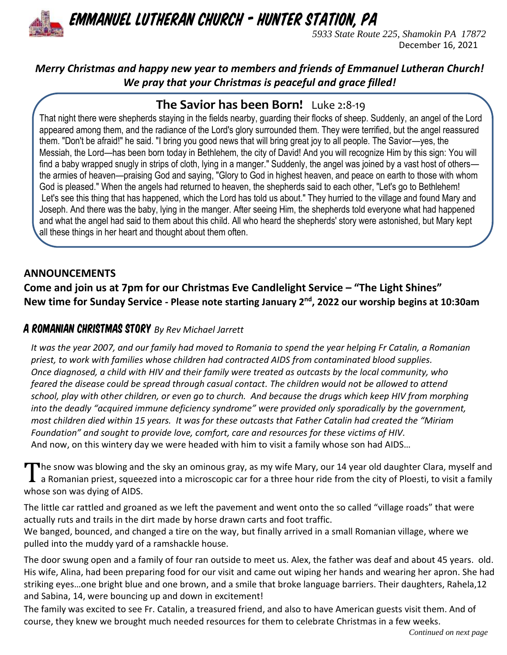

*Emmanuel Lutheran Church - Hunter Station, PA*

*5933 State Route 225, Shamokin PA 17872* December 16, 2021

### *Merry Christmas and happy new year to members and friends of Emmanuel Lutheran Church! We pray that your Christmas is peaceful and grace filled!*

# **The Savior has been Born!** Luke 2:8-19

That night there were shepherds staying in the fields nearby, guarding their flocks of sheep. Suddenly, an angel of the Lord appeared among them, and the radiance of the Lord's glory surrounded them. They were terrified, but the angel reassured them. "Don't be afraid!" he said. "I bring you good news that will bring great joy to all people. The Savior—yes, the Messiah, the Lord—has been born today in Bethlehem, the city of David! And you will recognize Him by this sign: You will find a baby wrapped snugly in strips of cloth, lying in a manger." Suddenly, the angel was joined by a vast host of others the armies of heaven—praising God and saying, "Glory to God in highest heaven, and peace on earth to those with whom God is pleased." When the angels had returned to heaven, the shepherds said to each other, "Let's go to Bethlehem! Let's see this thing that has happened, which the Lord has told us about." They hurried to the village and found Mary and Joseph. And there was the baby, lying in the manger. After seeing Him, the shepherds told everyone what had happened and what the angel had said to them about this child. All who heard the shepherds' story were astonished, but Mary kept all these things in her heart and thought about them often.

### **ANNOUNCEMENTS**

**Come and join us at 7pm for our Christmas Eve Candlelight Service – "The Light Shines" New time for Sunday Service - Please note starting January 2nd, 2022 our worship begins at 10:30am**

### A Romanian Christmas Story *By Rev Michael Jarrett*

*It was the year 2007, and our family had moved to Romania to spend the year helping Fr Catalin, a Romanian priest, to work with families whose children had contracted AIDS from contaminated blood supplies. Once diagnosed, a child with HIV and their family were treated as outcasts by the local community, who feared the disease could be spread through casual contact. The children would not be allowed to attend school, play with other children, or even go to church. And because the drugs which keep HIV from morphing into the deadly "acquired immune deficiency syndrome" were provided only sporadically by the government, most children died within 15 years. It was for these outcasts that Father Catalin had created the "Miriam Foundation" and sought to provide love, comfort, care and resources for these victims of HIV.*  And now, on this wintery day we were headed with him to visit a family whose son had AIDS…

The snow was blowing and the sky an ominous gray, as my wife Mary, our 14 year old daughter Clara, myself and<br>Ta Romanian priest, squeezed into a microscopic car for a three hour ride from the city of Ploesti, to visit a f a Romanian priest, squeezed into a microscopic car for a three hour ride from the city of Ploesti, to visit a family whose son was dying of AIDS.

The little car rattled and groaned as we left the pavement and went onto the so called "village roads" that were actually ruts and trails in the dirt made by horse drawn carts and foot traffic.

We banged, bounced, and changed a tire on the way, but finally arrived in a small Romanian village, where we pulled into the muddy yard of a ramshackle house.

The door swung open and a family of four ran outside to meet us. Alex, the father was deaf and about 45 years. old. His wife, Alina, had been preparing food for our visit and came out wiping her hands and wearing her apron. She had striking eyes…one bright blue and one brown, and a smile that broke language barriers. Their daughters, Rahela,12 and Sabina, 14, were bouncing up and down in excitement!

The family was excited to see Fr. Catalin, a treasured friend, and also to have American guests visit them. And of course, they knew we brought much needed resources for them to celebrate Christmas in a few weeks.